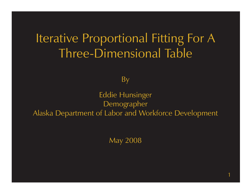# Iterative Proportional Fitting For A Three-Dimensional Table

By

Eddie Hunsinger Demographer Alaska Department of Labor and Workforce Development

May 2008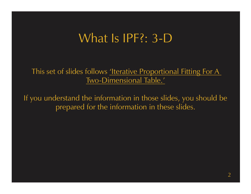This set of slides [follows 'Iterative Proportional Fitting For A](http://www.demog.berkeley.edu/~eddieh/IPFDescription/AKDOLWDIPFTWOD.pdf) Two-Dimensional Table.'

If you understand the information in those slides, you should be prepared for the information in these slides.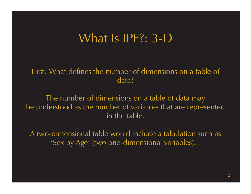First: What defines the number of dimensions on a table of data?

The number of dimensions on a table of data may be understood as the number of variables that are represented in the table.

A two-dimensional table would include a tabulation such as 'Sex by Age' (two one-dimensional variables)...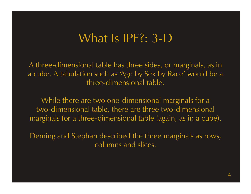A three-dimensional table has three sides, or marginals, as in a cube. A tabulation such as 'Age by Sex by Race' would be a three-dimensional table.

While there are two one-dimensional marginals for a two-dimensional table, there are three two-dimensional marginals for a three-dimensional table (again, as in a cube).

Deming and Stephan described the three marginals as rows, columns and slices.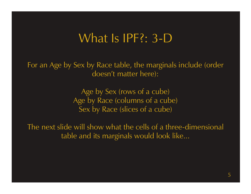For an Age by Sex by Race table, the marginals include (order does <sup>n</sup>'t matter here):

> Age by Sex (rows of a cube) Age by Race (columns of a cube) Sex by Race (slices of a cube)

The next slide will show what the cells of a three-dimensional table and its marginals would look like...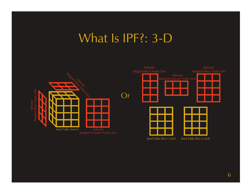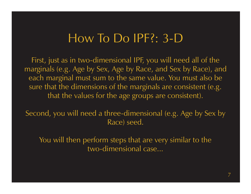#### How To Do IPF?: 3-D

First, just as in two-dimensional IPF, you will need all of the marginals (e.g. Age by Sex, Age by Race, and Sex by Race), and each marginal must sum to the same value. You must also be sure that the dimensions of the marginals are consistent (e.g. that the values for the age groups are consistent).

Second, you will need a three-dimensional (e.g. Age by Sex by Race) seed.

You will then perform steps that are very similar to the two-dimensional case...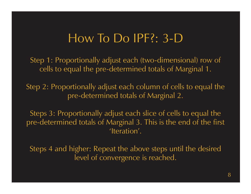### How To Do IPF?: 3-D

Step 1: Proportionally adjust each (two-dimensional) row of cells to equal the pre-determined totals of Marginal 1.

Step 2: Proportionally adjust each column of cells to equal the pre-determined totals of Marginal 2.

Steps 3: Proportionally adjust each slice of cells to equal the pre-determined totals of Marginal 3. This is the end of the first 'Iteration'.

Steps 4 and higher: Repeat the above steps until the desired level of convergence is reached.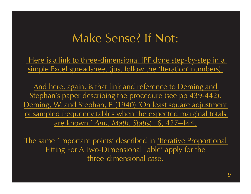## Make Sense? If Not:

Here is a link to three-dimensional IPF done step-by-step in a simple Excel spreadsheet (just follow the 'Iteration' numbers).

And here, again, is that link and reference to Deming and Stephan's paper describing the procedure (see pp 439-442). [Deming, W. and Stephan, F. \(1940\) 'On least square adjustment](http://links.jstor.org/sici?sici=0003-4851(194012)11%3A4%3C427%3AOALSAO%3E2.0.CO%3B2-C)  of sampled frequency tables when the expected marginal totals are known.' Ann. Math. Statist., 6, 427–444.

The same 'important points' described in <u>'Iterative Proportional</u> Fitting For A Two-Dimensional Table' apply for the three-dimensional case.